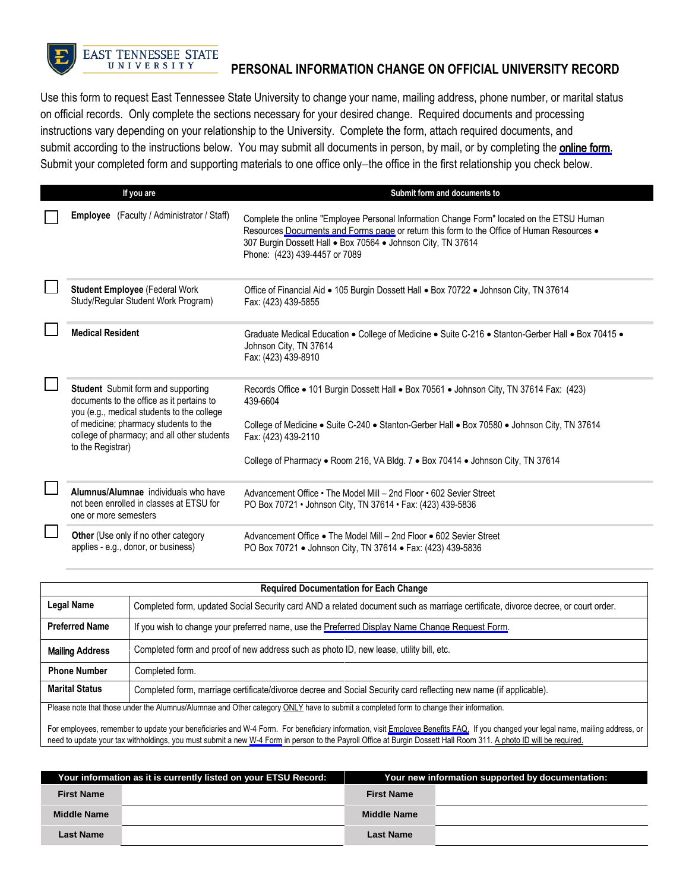

## **EAST TENNESSEE STATE** UNIVERSITY **PERSONAL INFORMATION CHANGE ON OFFICIAL UNIVERSITY RECORD**

Use this form to request East Tennessee State University to change your name, mailing address, phone number, or marital status on official records. Only complete the sections necessary for your desired change. Required documents and processing instructions vary depending on your relationship to the University. Complete the form, attach required documents, and submit according to the instructions below. You may submit all documents in person, by mail, or by completing the [online form](https://etsupws.etsu.edu/DynamicForms?targetURL=https://dynamicforms.ngwebsolutions.com/Submit/Form/Start/ac514092-8c6d-4359-9b0f-2265a4bd7d0a). Submit your completed form and supporting materials to one office only−the office in the first relationship you check below.

| If you are                                                                                                                    | Submit form and documents to                                                                                                                                                                                                                                                            |
|-------------------------------------------------------------------------------------------------------------------------------|-----------------------------------------------------------------------------------------------------------------------------------------------------------------------------------------------------------------------------------------------------------------------------------------|
| <b>Employee</b> (Faculty / Administrator / Staff)                                                                             | Complete the online "Employee Personal Information Change Form" located on the ETSU Human<br>Resources Documents and Forms page or return this form to the Office of Human Resources .<br>307 Burgin Dossett Hall . Box 70564 . Johnson City, TN 37614<br>Phone: (423) 439-4457 or 7089 |
| <b>Student Employee (Federal Work</b><br>Study/Regular Student Work Program)                                                  | Office of Financial Aid • 105 Burgin Dossett Hall • Box 70722 • Johnson City, TN 37614<br>Fax: (423) 439-5855                                                                                                                                                                           |
| <b>Medical Resident</b>                                                                                                       | Graduate Medical Education . College of Medicine . Suite C-216 . Stanton-Gerber Hall . Box 70415 .<br>Johnson City, TN 37614<br>Fax: (423) 439-8910                                                                                                                                     |
| Student Submit form and supporting<br>documents to the office as it pertains to<br>you (e.g., medical students to the college | Records Office • 101 Burgin Dossett Hall • Box 70561 • Johnson City, TN 37614 Fax: (423)<br>439-6604                                                                                                                                                                                    |
| of medicine; pharmacy students to the<br>college of pharmacy; and all other students<br>to the Registrar)                     | College of Medicine . Suite C-240 . Stanton-Gerber Hall . Box 70580 . Johnson City, TN 37614<br>Fax: (423) 439-2110                                                                                                                                                                     |
|                                                                                                                               | College of Pharmacy . Room 216, VA Bldg. 7 . Box 70414 . Johnson City, TN 37614                                                                                                                                                                                                         |
| Alumnus/Alumnae individuals who have<br>not been enrolled in classes at ETSU for<br>one or more semesters                     | Advancement Office • The Model Mill – 2nd Floor • 602 Sevier Street<br>PO Box 70721 • Johnson City, TN 37614 • Fax: (423) 439-5836                                                                                                                                                      |
| <b>Other</b> (Use only if no other category<br>applies - e.g., donor, or business)                                            | Advancement Office • The Model Mill – 2nd Floor • 602 Sevier Street<br>PO Box 70721 • Johnson City, TN 37614 • Fax: (423) 439-5836                                                                                                                                                      |

| <b>Required Documentation for Each Change</b> |                                                                                                                                       |  |  |
|-----------------------------------------------|---------------------------------------------------------------------------------------------------------------------------------------|--|--|
| <b>Legal Name</b>                             | Completed form, updated Social Security card AND a related document such as marriage certificate, divorce decree, or court order.     |  |  |
| <b>Preferred Name</b>                         | If you wish to change your preferred name, use the Preferred Display Name Change Request Form.                                        |  |  |
| <b>Mailing Address</b>                        | Completed form and proof of new address such as photo ID, new lease, utility bill, etc.                                               |  |  |
| <b>Phone Number</b>                           | Completed form.                                                                                                                       |  |  |
| <b>Marital Status</b>                         | Completed form, marriage certificate/divorce decree and Social Security card reflecting new name (if applicable).                     |  |  |
|                                               | Please note that those under the Alumnus/Alumnae and Other category ONLY have to submit a completed form to change their information. |  |  |

For employees, remember to update your beneficiaries and W-4 Form. For beneficiary information, visit [Employee Benefits FAQ.](https://www.etsu.edu/human-resources/benefits/benefits_faq.php) If you changed your legal name, mailing address, or need to update your tax withholdings, you must submit a new [W-4 Form](https://www.irs.gov/pub/irs-pdf/fw4.pdf?portlet=3) in person to the Payroll Office at Burgin Dossett Hall Room 311. A photo ID will be required.

| Your information as it is currently listed on your ETSU Record: |  | Your new information supported by documentation: |  |
|-----------------------------------------------------------------|--|--------------------------------------------------|--|
| <b>First Name</b>                                               |  | <b>First Name</b>                                |  |
| <b>Middle Name</b>                                              |  | <b>Middle Name</b>                               |  |
| Last Name                                                       |  | <b>Last Name</b>                                 |  |